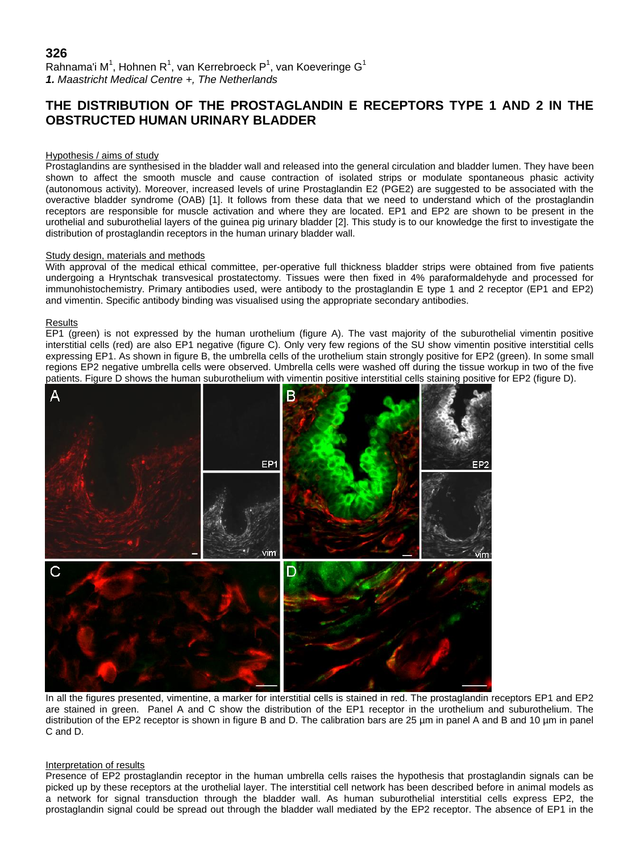# **326** Rahnama'i M<sup>1</sup>, Hohnen R<sup>1</sup>, van Kerrebroeck P<sup>1</sup>, van Koeveringe G<sup>1</sup> *1. Maastricht Medical Centre +, The Netherlands*

# **THE DISTRIBUTION OF THE PROSTAGLANDIN E RECEPTORS TYPE 1 AND 2 IN THE OBSTRUCTED HUMAN URINARY BLADDER**

#### Hypothesis / aims of study

Prostaglandins are synthesised in the bladder wall and released into the general circulation and bladder lumen. They have been shown to affect the smooth muscle and cause contraction of isolated strips or modulate spontaneous phasic activity (autonomous activity). Moreover, increased levels of urine Prostaglandin E2 (PGE2) are suggested to be associated with the overactive bladder syndrome (OAB) [1]. It follows from these data that we need to understand which of the prostaglandin receptors are responsible for muscle activation and where they are located. EP1 and EP2 are shown to be present in the urothelial and suburothelial layers of the guinea pig urinary bladder [2]. This study is to our knowledge the first to investigate the distribution of prostaglandin receptors in the human urinary bladder wall.

#### Study design, materials and methods

With approval of the medical ethical committee, per-operative full thickness bladder strips were obtained from five patients undergoing a Hryntschak transvesical prostatectomy. Tissues were then fixed in 4% paraformaldehyde and processed for immunohistochemistry. Primary antibodies used, were antibody to the prostaglandin E type 1 and 2 receptor (EP1 and EP2) and vimentin. Specific antibody binding was visualised using the appropriate secondary antibodies.

#### Results

EP1 (green) is not expressed by the human urothelium (figure A). The vast majority of the suburothelial vimentin positive interstitial cells (red) are also EP1 negative (figure C). Only very few regions of the SU show vimentin positive interstitial cells expressing EP1. As shown in figure B, the umbrella cells of the urothelium stain strongly positive for EP2 (green). In some small regions EP2 negative umbrella cells were observed. Umbrella cells were washed off during the tissue workup in two of the five patients. Figure D shows the human suburothelium with vimentin positive interstitial cells staining positive for EP2 (figure D).



In all the figures presented, vimentine, a marker for interstitial cells is stained in red. The prostaglandin receptors EP1 and EP2 are stained in green. Panel A and C show the distribution of the EP1 receptor in the urothelium and suburothelium. The distribution of the EP2 receptor is shown in figure B and D. The calibration bars are 25  $\mu$ m in panel A and B and 10  $\mu$ m in panel C and D.

## Interpretation of results

Presence of EP2 prostaglandin receptor in the human umbrella cells raises the hypothesis that prostaglandin signals can be picked up by these receptors at the urothelial layer. The interstitial cell network has been described before in animal models as a network for signal transduction through the bladder wall. As human suburothelial interstitial cells express EP2, the prostaglandin signal could be spread out through the bladder wall mediated by the EP2 receptor. The absence of EP1 in the